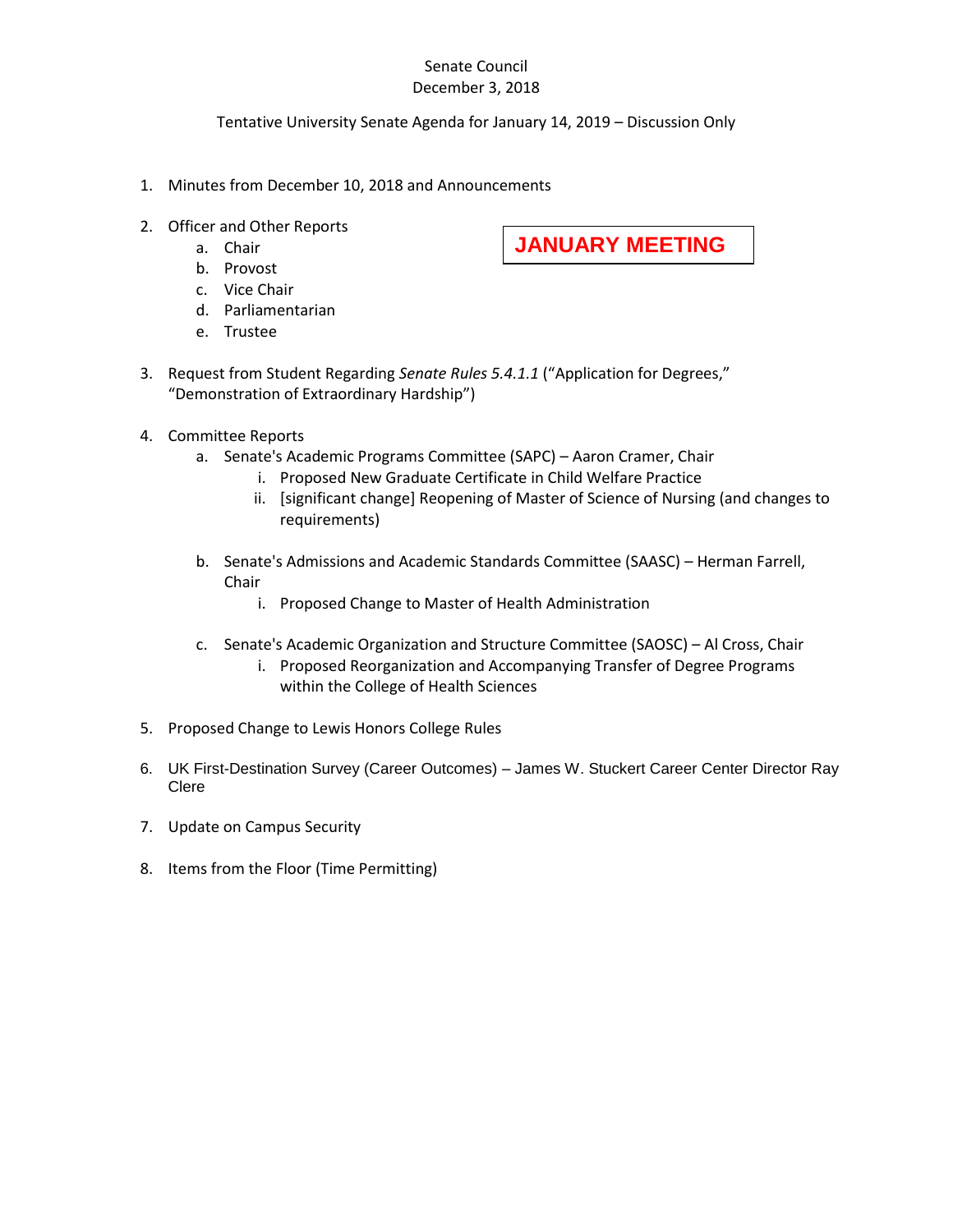## Senate Council December 3, 2018

## Tentative University Senate Agenda for January 14, 2019 – Discussion Only

- 1. Minutes from December 10, 2018 and Announcements
- 2. Officer and Other Reports
	- a. Chair
	- b. Provost
	- c. Vice Chair
	- d. Parliamentarian
	- e. Trustee
- **JANUARY MEETING**
- 3. Request from Student Regarding *Senate Rules 5.4.1.1* ("Application for Degrees," "Demonstration of Extraordinary Hardship")
- 4. Committee Reports
	- a. Senate's Academic Programs Committee (SAPC) Aaron Cramer, Chair
		- i. Proposed New Graduate Certificate in Child Welfare Practice
		- ii. [significant change] Reopening of Master of Science of Nursing (and changes to requirements)
	- b. Senate's Admissions and Academic Standards Committee (SAASC) Herman Farrell, Chair
		- i. Proposed Change to Master of Health Administration
	- c. Senate's Academic Organization and Structure Committee (SAOSC) Al Cross, Chair
		- i. Proposed Reorganization and Accompanying Transfer of Degree Programs within the College of Health Sciences
- 5. Proposed Change to Lewis Honors College Rules
- 6. UK First-Destination Survey (Career Outcomes) James W. Stuckert Career Center Director Ray Clere
- 7. Update on Campus Security
- 8. Items from the Floor (Time Permitting)